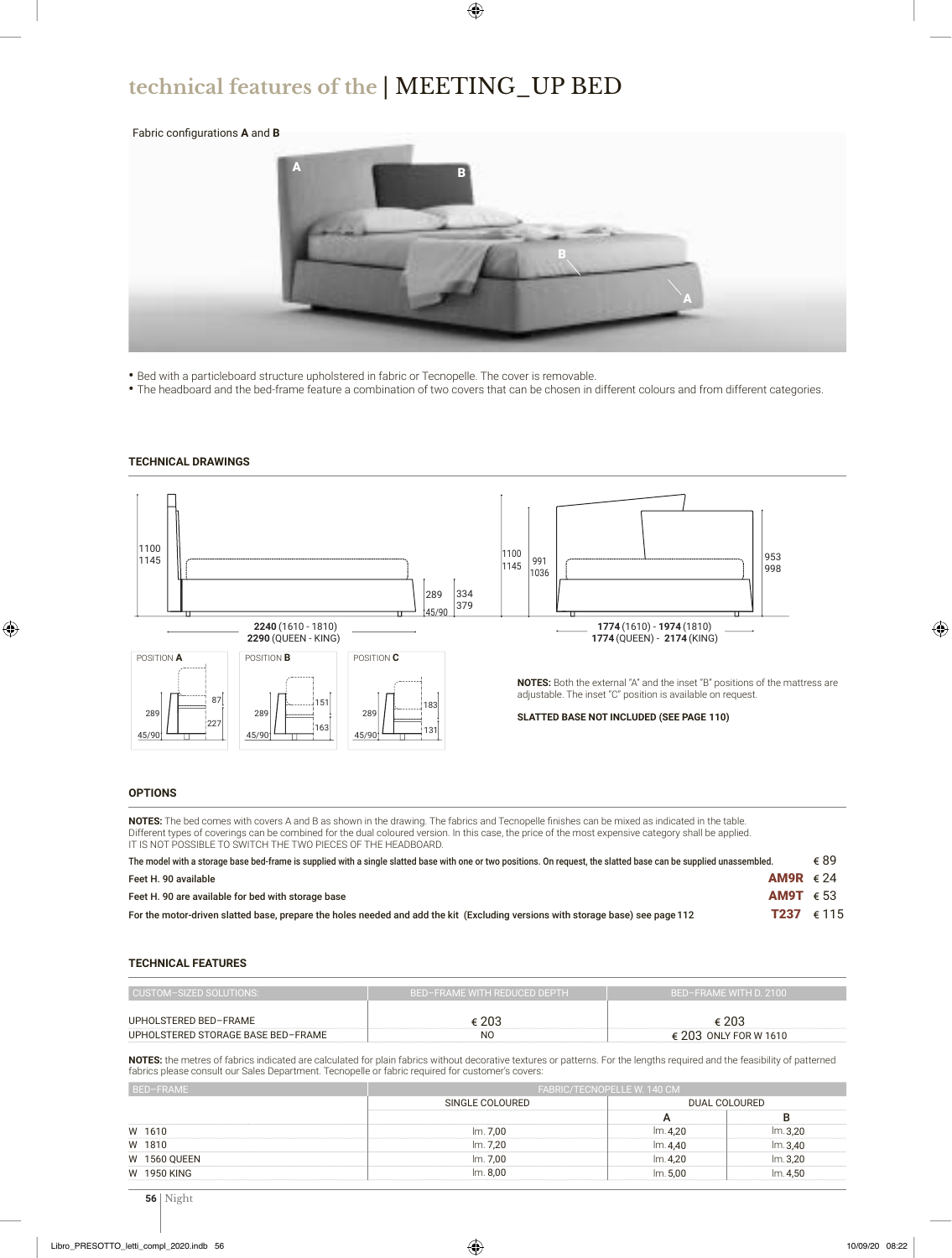## **technical features of the** | MEETING\_UP BED

### Fabric configurations **A** and **B**



- Bed with a particleboard structure upholstered in fabric or Tecnopelle. The cover is removable.
- The headboard and the bed-frame feature a combination of two covers that can be chosen in different colours and from different categories.

### **TECHNICAL DRAWINGS**



### **OPTIONS**

**NOTES:** The bed comes with covers A and B as shown in the drawing. The fabrics and Tecnopelle finishes can be mixed as indicated in the table. Different types of coverings can be combined for the dual coloured version. In this case, the price of the most expensive category shall be applied. IT IS NOT POSSIBLE TO SWITCH THE TWO PIECES OF THE HEADBOARD.

| The model with a storage base bed-frame is supplied with a single slatted base with one or two positions. On request, the slatted base can be supplied unassembled. |                    | € 89 |
|---------------------------------------------------------------------------------------------------------------------------------------------------------------------|--------------------|------|
| Feet H. 90 available                                                                                                                                                | AM9R $\epsilon$ 24 |      |
| Feet H. 90 are available for bed with storage base                                                                                                                  | AM9T $\epsilon$ 53 |      |
| For the motor-driven slatted base, prepare the holes needed and add the kit (Excluding versions with storage base) see page 112                                     | <b>T237</b> € 115  |      |

#### **TECHNICAL FEATURES**

| CUSTOM-SIZED SOLUTIONS:            | BED-FRAME WITH REDUCED DEPTH | BED-FRAME WITH D. 2100         |  |  |  |  |
|------------------------------------|------------------------------|--------------------------------|--|--|--|--|
| UPHOLSTERED BED-FRAME              | € 203                        | ∈ 203                          |  |  |  |  |
| UPHOLSTERED STORAGE BASE BED-FRAME | N <sub>O</sub>               | $\epsilon$ 203 ONLY FOR W 1610 |  |  |  |  |

**NOTES:** the metres of fabrics indicated are calculated for plain fabrics without decorative textures or patterns. For the lengths required and the feasibility of patterned fabrics please consult our Sales Department. Tecnopelle or fabric required for customer's covers:

| BED-FRAME           |                 | FABRIC/TECNOPELLE W. 140 CM |         |  |  |  |  |
|---------------------|-----------------|-----------------------------|---------|--|--|--|--|
|                     | SINGLE COLOURED | DUAL COLOURED               |         |  |  |  |  |
|                     |                 | А                           |         |  |  |  |  |
| W 1610              | Im. 7.00        | Im.4.20                     | Im.3.20 |  |  |  |  |
| W 1810              | lm. 7.20        | Im.4.40                     | Im.3,40 |  |  |  |  |
| <b>W 1560 QUEEN</b> | lm. 7,00        | Im.4,20                     | Im.3,20 |  |  |  |  |
| W 1950 KING         | Im. 8,00        | Im. 5.00                    | Im.4.50 |  |  |  |  |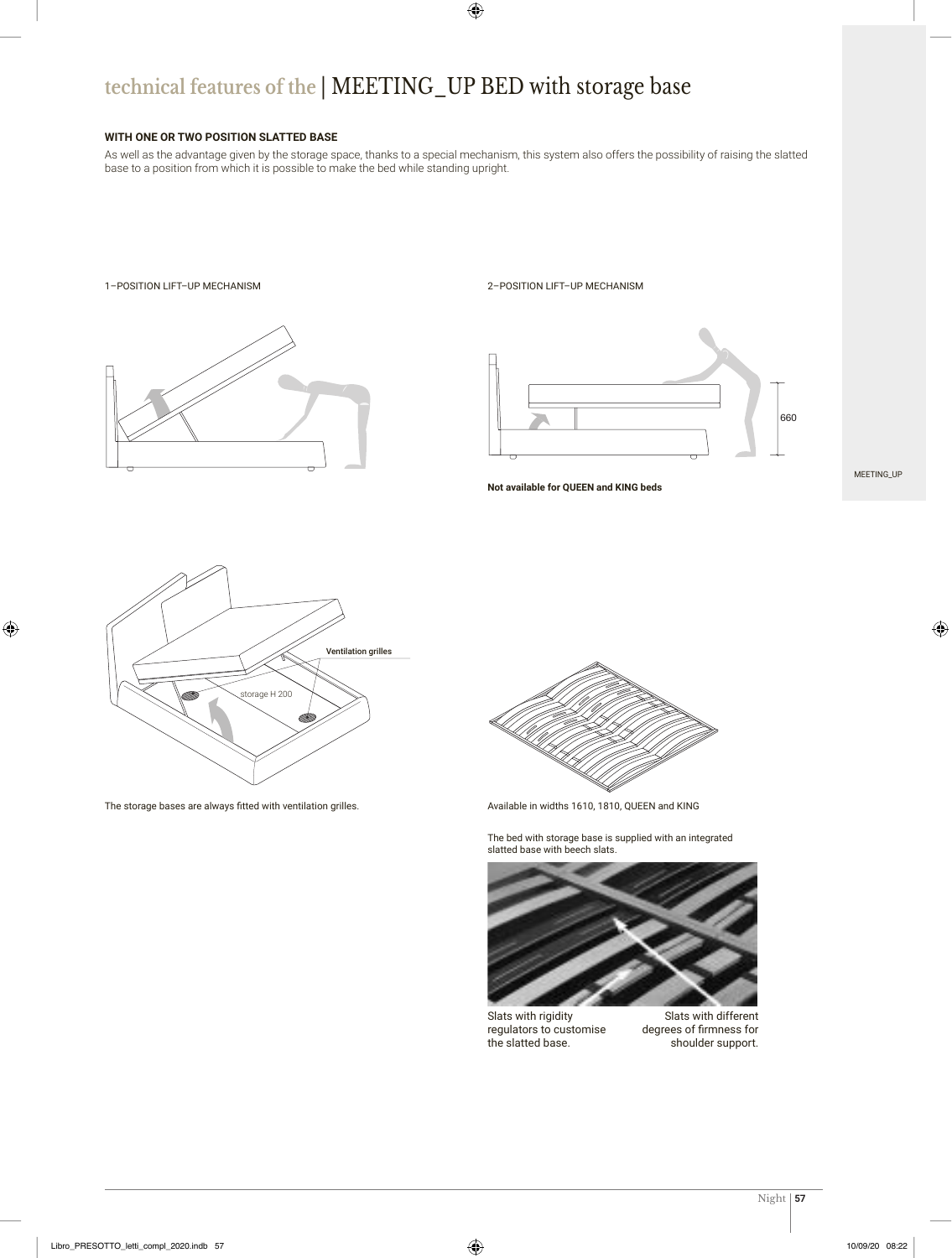## **technical features of the** | MEETING\_UP BED with storage base

### **WITH ONE OR TWO POSITION SLATTED BASE**

As well as the advantage given by the storage space, thanks to a special mechanism, this system also offers the possibility of raising the slatted base to a position from which it is possible to make the bed while standing upright.



### 1–POSITION LIFT–UP MECHANISM 2–POSITION LIFT–UP MECHANISM



**Not available for QUEEN and KING beds**

MEETING\_UP



The storage bases are always fitted with ventilation grilles.



Available in widths 1610, 1810, QUEEN and KING

The bed with storage base is supplied with an integrated slatted base with beech slats.



Slats with rigidity regulators to customise the slatted base.

Slats with different degrees of firmness for shoulder support.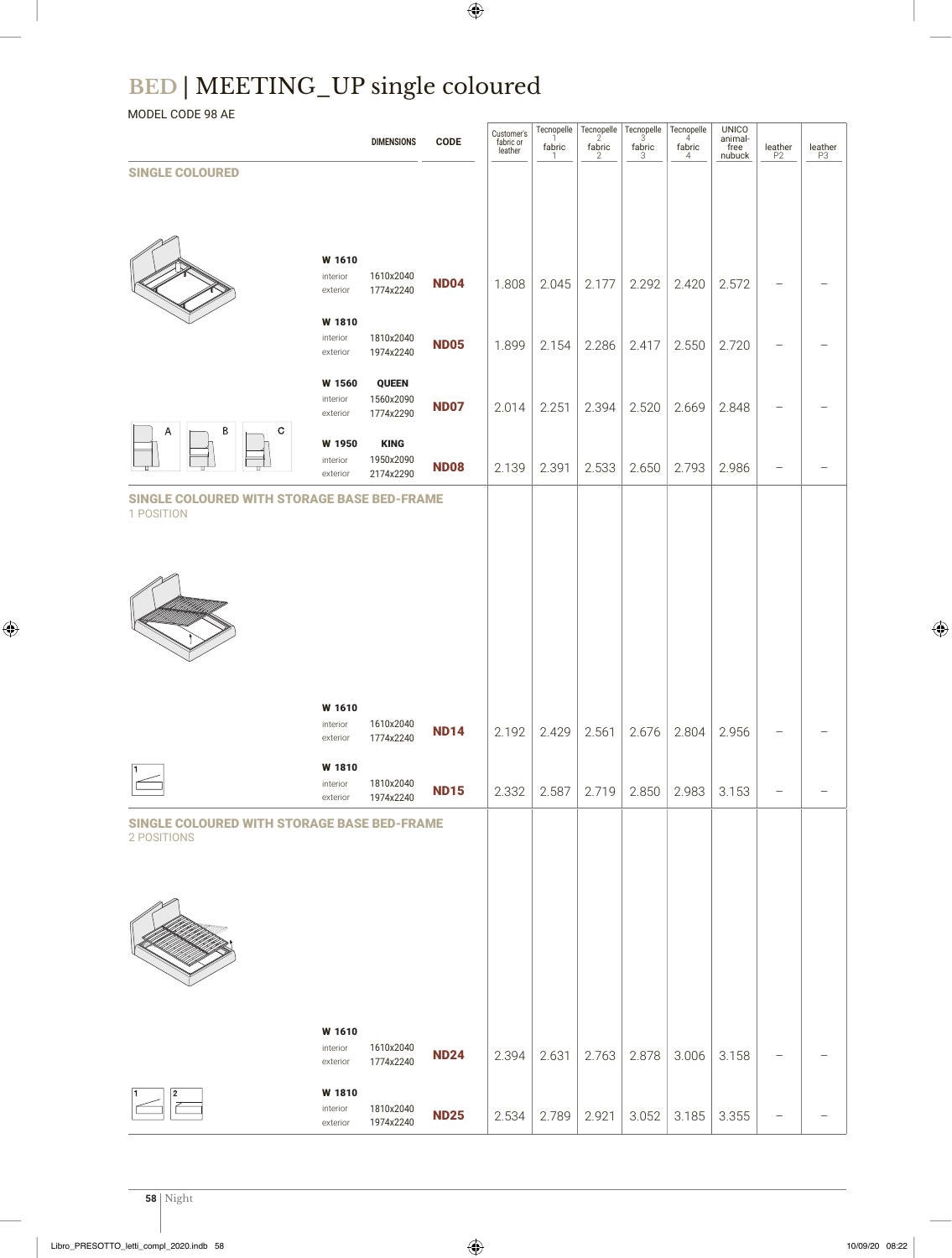# **BED** | MEETING\_UP single coloured

MODEL CODE 98 AE

|                                                            |                                | <b>DIMENSIONS</b>      | <b>CODE</b> | Customer's<br>fabric or<br>leather | Tecnopelle<br>1<br>fabric<br>-1 | Tecnopelle<br>$\frac{\mathsf{f} \mathsf{abric}}{2}$ | $Tecnopelle3$<br>$\xi_{3}^{\rm{bric}}$ | Tecnopelle<br>$4$<br>fabric<br>4 | <b>UNICO</b><br>animal-<br>free<br>nubuck | $\underset{\mathsf{P2}}{\mathsf{leather}}$ | $\underset{\mathrm{P3}}{\mathsf{leather}}$ |
|------------------------------------------------------------|--------------------------------|------------------------|-------------|------------------------------------|---------------------------------|-----------------------------------------------------|----------------------------------------|----------------------------------|-------------------------------------------|--------------------------------------------|--------------------------------------------|
| <b>SINGLE COLOURED</b>                                     |                                |                        |             |                                    |                                 |                                                     |                                        |                                  |                                           |                                            |                                            |
|                                                            |                                |                        |             |                                    |                                 |                                                     |                                        |                                  |                                           |                                            |                                            |
|                                                            |                                |                        |             |                                    |                                 |                                                     |                                        |                                  |                                           |                                            |                                            |
|                                                            | W 1610                         |                        |             |                                    |                                 |                                                     |                                        |                                  |                                           |                                            |                                            |
|                                                            | interior<br>exterior           | 1610x2040<br>1774x2240 | <b>ND04</b> | 1.808                              | 2.045                           | 2.177                                               | 2.292                                  | 2.420                            | 2.572                                     |                                            |                                            |
|                                                            | W 1810                         |                        |             |                                    |                                 |                                                     |                                        |                                  |                                           |                                            |                                            |
|                                                            | interior<br>exterior           | 1810x2040<br>1974x2240 | <b>ND05</b> | 1.899                              | 2.154                           | 2.286                                               | 2.417                                  | 2.550                            | 2.720                                     |                                            |                                            |
|                                                            | W 1560                         | <b>QUEEN</b>           |             |                                    |                                 |                                                     |                                        |                                  |                                           |                                            |                                            |
|                                                            | interior<br>exterior           | 1560x2090<br>1774x2290 | <b>ND07</b> | 2.014                              | 2.251                           | 2.394                                               | 2.520                                  | 2.669                            | 2.848                                     |                                            |                                            |
| Β<br>C<br>Α                                                | W 1950                         | <b>KING</b>            |             |                                    |                                 |                                                     |                                        |                                  |                                           |                                            |                                            |
|                                                            | interior<br>exterior           | 1950x2090<br>2174x2290 | <b>ND08</b> | 2.139                              | 2.391                           | 2.533                                               | 2.650                                  | 2.793                            | 2.986                                     |                                            |                                            |
| SINGLE COLOURED WITH STORAGE BASE BED-FRAME<br>1 POSITION  |                                |                        |             |                                    |                                 |                                                     |                                        |                                  |                                           |                                            |                                            |
|                                                            |                                |                        |             |                                    |                                 |                                                     |                                        |                                  |                                           |                                            |                                            |
|                                                            |                                |                        |             |                                    |                                 |                                                     |                                        |                                  |                                           |                                            |                                            |
|                                                            |                                |                        |             |                                    |                                 |                                                     |                                        |                                  |                                           |                                            |                                            |
|                                                            |                                |                        |             |                                    |                                 |                                                     |                                        |                                  |                                           |                                            |                                            |
|                                                            |                                |                        |             |                                    |                                 |                                                     |                                        |                                  |                                           |                                            |                                            |
|                                                            |                                |                        |             |                                    |                                 |                                                     |                                        |                                  |                                           |                                            |                                            |
|                                                            | W 1610<br>interior             | 1610x2040              |             |                                    |                                 |                                                     |                                        |                                  |                                           |                                            |                                            |
|                                                            | exterior                       | 1774x2240              | <b>ND14</b> | 2.192                              | 2.429                           | 2.561                                               | 2.676                                  | 2.804                            | 2.956                                     |                                            |                                            |
|                                                            | W 1810<br>interior             | 1810x2040              |             |                                    |                                 |                                                     |                                        |                                  |                                           |                                            |                                            |
|                                                            | exterior                       | 1974x2240              | <b>ND15</b> | 2.332                              | 2.587                           | 2.719                                               | 2.850                                  | 2.983                            | 3.153                                     |                                            |                                            |
| SINGLE COLOURED WITH STORAGE BASE BED-FRAME<br>2 POSITIONS |                                |                        |             |                                    |                                 |                                                     |                                        |                                  |                                           |                                            |                                            |
|                                                            |                                |                        |             |                                    |                                 |                                                     |                                        |                                  |                                           |                                            |                                            |
|                                                            |                                |                        |             |                                    |                                 |                                                     |                                        |                                  |                                           |                                            |                                            |
|                                                            |                                |                        |             |                                    |                                 |                                                     |                                        |                                  |                                           |                                            |                                            |
|                                                            |                                |                        |             |                                    |                                 |                                                     |                                        |                                  |                                           |                                            |                                            |
|                                                            |                                |                        |             |                                    |                                 |                                                     |                                        |                                  |                                           |                                            |                                            |
|                                                            |                                |                        |             |                                    |                                 |                                                     |                                        |                                  |                                           |                                            |                                            |
|                                                            | W 1610<br>interior<br>exterior | 1610x2040<br>1774x2240 | <b>ND24</b> | 2.394                              | 2.631                           | 2.763                                               | 2.878                                  | 3.006                            | 3.158                                     |                                            |                                            |
|                                                            |                                |                        |             |                                    |                                 |                                                     |                                        |                                  |                                           |                                            |                                            |
| 2                                                          | W 1810<br>interior<br>exterior | 1810x2040<br>1974x2240 | <b>ND25</b> | 2.534                              | 2.789                           | 2.921                                               | 3.052                                  | 3.185                            | 3.355                                     |                                            |                                            |
|                                                            |                                |                        |             |                                    |                                 |                                                     |                                        |                                  |                                           |                                            |                                            |